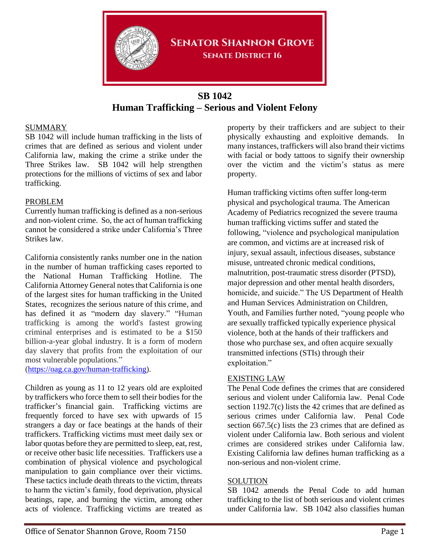

### **SENATOR SHANNON GROVE SENATE DISTRICT 16**

# **SB 1042 Human Trafficking – Serious and Violent Felony**

### SUMMARY

SB 1042 will include human trafficking in the lists of crimes that are defined as serious and violent under California law, making the crime a strike under the Three Strikes law. SB 1042 will help strengthen protections for the millions of victims of sex and labor trafficking.

#### PROBLEM

Currently human trafficking is defined as a non-serious and non-violent crime. So, the act of human trafficking cannot be considered a strike under California's Three Strikes law.

California consistently ranks number one in the nation in the number of human trafficking cases reported to the National Human Trafficking Hotline. The California Attorney General notes that California is one of the largest sites for human trafficking in the United States, recognizes the serious nature of this crime, and has defined it as "modern day slavery." "Human trafficking is among the world's fastest growing criminal enterprises and is estimated to be a \$150 billion-a-year global industry. It is a form of modern day slavery that profits from the exploitation of our most vulnerable populations."

[\(https://oag.ca.gov/human-trafficking\)](https://oag.ca.gov/human-trafficking).

Children as young as 11 to 12 years old are exploited by traffickers who force them to sell their bodies for the trafficker's financial gain. Trafficking victims are frequently forced to have sex with upwards of 15 strangers a day or face beatings at the hands of their traffickers. Trafficking victims must meet daily sex or labor quotas before they are permitted to sleep, eat, rest, or receive other basic life necessities. Traffickers use a combination of physical violence and psychological manipulation to gain compliance over their victims. These tactics include death threats to the victim, threats to harm the victim's family, food deprivation, physical beatings, rape, and burning the victim, among other acts of violence. Trafficking victims are treated as

property by their traffickers and are subject to their physically exhausting and exploitive demands. In many instances, traffickers will also brand their victims with facial or body tattoos to signify their ownership over the victim and the victim's status as mere property.

Human trafficking victims often suffer long-term physical and psychological trauma. The American Academy of Pediatrics recognized the severe trauma human trafficking victims suffer and stated the following, "violence and psychological manipulation are common, and victims are at increased risk of injury, sexual assault, infectious diseases, substance misuse, untreated chronic medical conditions, malnutrition, post-traumatic stress disorder (PTSD), major depression and other mental health disorders, homicide, and suicide." The US Department of Health and Human Services Administration on Children, Youth, and Families further noted, "young people who are sexually trafficked typically experience physical violence, both at the hands of their traffickers and those who purchase sex, and often acquire sexually transmitted infections (STIs) through their exploitation."

#### EXISTING LAW

The Penal Code defines the crimes that are considered serious and violent under California law. Penal Code section 1192.7(c) lists the 42 crimes that are defined as serious crimes under California law. Penal Code section 667.5(c) lists the 23 crimes that are defined as violent under California law. Both serious and violent crimes are considered strikes under California law. Existing California law defines human trafficking as a non-serious and non-violent crime.

#### **SOLUTION**

SB 1042 amends the Penal Code to add human trafficking to the list of both serious and violent crimes under California law. SB 1042 also classifies human